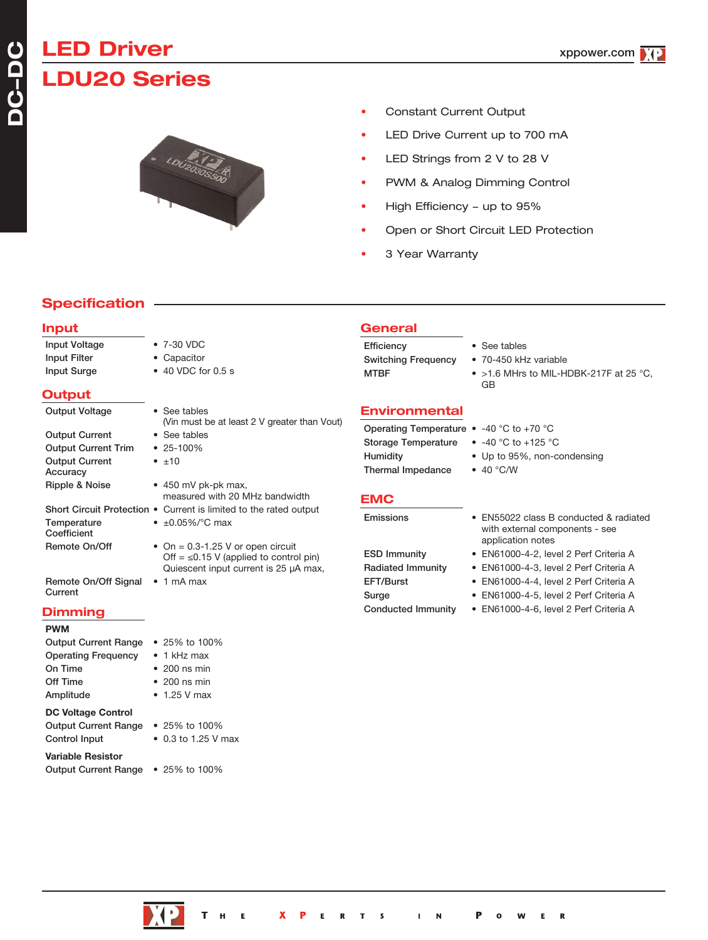# **LED Driver LDU20 Series**



- Constant Current Output
- LED Drive Current up to 700 mA
- LED Strings from 2 V to 28 V
- PWM & Analog Dimming Control
- High Efficiency up to 95%
- Open or Short Circuit LED Protection
- 3 Year Warranty

# **Specification**

### **Input**

| Input Voltage                     | • 7-30 VDC                                                                                                                   |
|-----------------------------------|------------------------------------------------------------------------------------------------------------------------------|
| Input Filter                      | • Capacitor                                                                                                                  |
| <b>Input Surge</b>                | • 40 VDC for 0.5 s                                                                                                           |
| Output                            |                                                                                                                              |
| <b>Output Voltage</b>             | • See tables<br>(Vin must be at least 2 V greater than Vout)                                                                 |
| <b>Output Current</b>             | • See tables                                                                                                                 |
| <b>Output Current Trim</b>        | $• 25 - 100\%$                                                                                                               |
| <b>Output Current</b><br>Accuracy | $\bullet$ $\pm 10$                                                                                                           |
| Ripple & Noise                    | $\bullet$ 450 mV pk-pk max,<br>measured with 20 MHz bandwidth                                                                |
|                                   | Short Circuit Protection . Current is limited to the rated output                                                            |
| Temperature<br>Coefficient        | • $\pm 0.05\%$ / °C max                                                                                                      |
| Remote On/Off                     | • On = $0.3-1.25$ V or open circuit<br>Off = $\leq$ 0.15 V (applied to control pin)<br>Quiescent input current is 25 µA max, |
| Remote On/Off Signal<br>Current   | $\bullet$ 1 mA max                                                                                                           |
| <b>Disastacia a</b> r             |                                                                                                                              |

## **Dimming**

## **PWM**

| <b>Output Current Range</b> | • 25% to 100%               |
|-----------------------------|-----------------------------|
| <b>Operating Frequency</b>  | $\bullet$ 1 kHz max         |
| On Time                     | $\bullet$ 200 ns min        |
| Off Time                    | $\bullet$ 200 ns min        |
| Amplitude                   | $\bullet$ 1.25 V max        |
| <b>DC Voltage Control</b>   |                             |
| <b>Output Current Range</b> | • 25% to 100%               |
| <b>Control Input</b>        | $\bullet$ 0.3 to 1.25 V max |
| <b>Variable Resistor</b>    |                             |
| <b>Output Current Range</b> | • 25% to 100%               |

**General**

Efficiency • See tables Switching Frequency • 70-450 kHz variable

- 
- 
- MTBF  $>1.6$  MHrs to MIL-HDBK-217F at 25 °C, GB

## **Environmental**

Operating Temperature • -40 °C to +70 °C Storage Temperature • -40 °C to +125 °C Thermal Impedance • 40 °C/W

- 
- 
- Humidity Up to 95%, non-condensing
	-

### **EMC**

Emissions • EN55022 class B conducted & radiated with external components - see application notes ESD Immunity • EN61000-4-2, level 2 Perf Criteria A Radiated Immunity • EN61000-4-3, level 2 Perf Criteria A EFT/Burst • EN61000-4-4, level 2 Perf Criteria A Surge • EN61000-4-5, level 2 Perf Criteria A Conducted Immunity • EN61000-4-6, level 2 Perf Criteria A